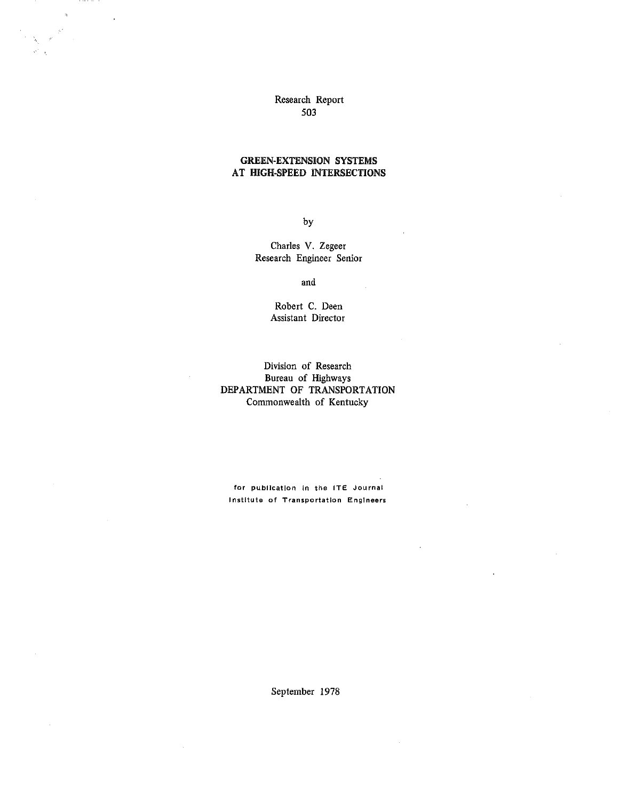Research Report 503

#### GREEN-EXTENSION SYSTEMS AT HIGH-SPEED iNTERSECTIONS

by

# Charles V. Zegeer Research Engineer Senior

and

Robert C. Deen Assistant Director

### Division of Research Bureau of Highways DEPARTMENT OF TRANSPORTATION Commonwealth of Kentucky

**for publication In the ITE Journal Institute of Transportation Engineers** 

September 1978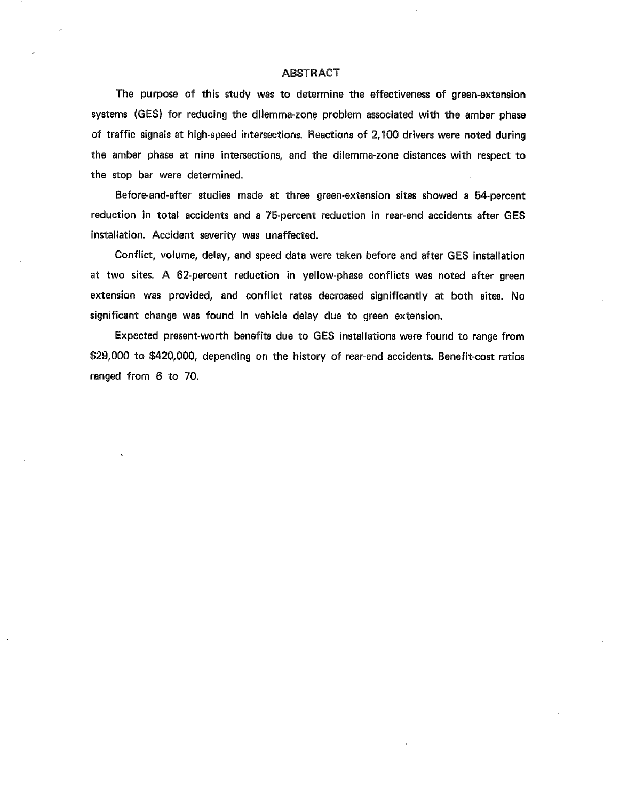#### ABSTRACT

The purpose of this study was to determine the effectiveness of green-extension systems (GES) for reducing the dilemma-zone problem associated with the amber phase of traffic signals at high-speed intersections. Reactions of 2,100 drivers were noted during the amber phase at nine intersections, and the dilemma-zone distances with respect to the stop bar were determined.

Before-and-after studies made at three green-extension sites showed a 54-percent reduction in total accidents and a 75-percent reduction in rear-end accidents after GES installation. Accident severity was unaffected.

Conflict, volume, delay, and speed data were taken before and after GES installation at two sites. A 62-percent reduction in yellow-phase conflicts was noted after green extension was provided, and conflict rates decreased significantly at both sites. No significant change was found in vehicle delay due to green extension.

Expected present-worth benefits due to GES installations were found to range from \$29,000 to \$420,000, depending on the history of rear-end accidents. Benefit-cost ratios ranged from 6 to 70.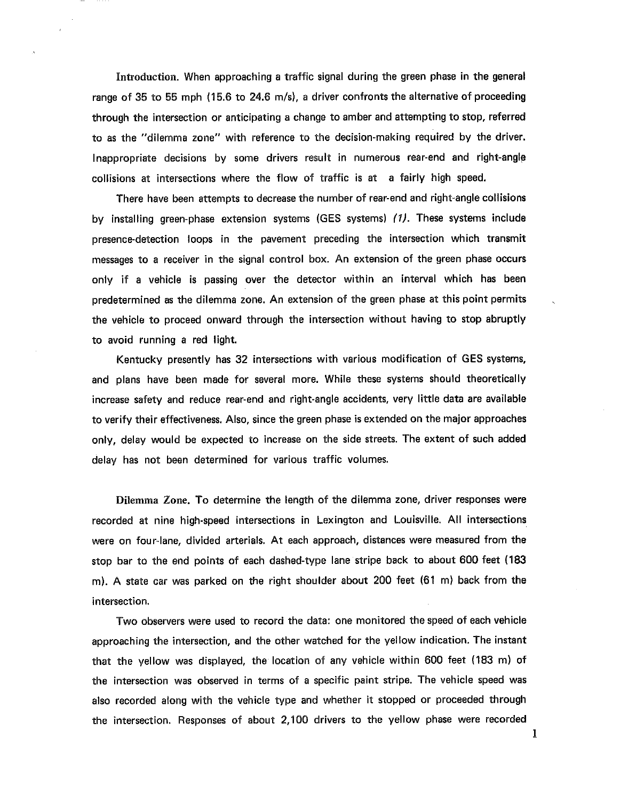Introduction. When approaching a traffic signal during the green phase in the general range of 35 to 55 mph ( 15.6 to 24.6 m/s), a driver confronts the alternative of proceeding through the intersection or anticipating a change to amber and attempting to stop, referred to as the "dilemma zone" with reference to the decision-making required by the driver. Inappropriate decisions by some drivers result in numerous rear-end and right-angle collisions at intersections where the flow of traffic is at a fairly high speed.

There have been attempts to decrease the number of rear-end and right-angle collisions by installing green-phase extension systems (GES systems) (1). These systems include presence-detection loops in the pavement preceding the intersection which transmit messages to a receiver in the signal control box. An extension of the green phase occurs only if a vehicle is passing over the detector within an interval which has been predetermined as the dilemma zone. An extension of the green phase at this point permits the vehicle to proceed onward through the intersection without having to stop abruptly to avoid running a red light.

Kentucky presently has 32 intersections with various modification of GES systems, and plans have been made for several more. While these systems should theoretically increase safety and reduce rear-end and right-angle accidents, very little data are available to verify their effectiveness. Also, since the green phase is extended on the major approaches only, delay would be expected to increase on the side streets. The extent of such added delay has not been determined for various traffic volumes.

Dilemma Zone. To determine the length of the dilemma zone, driver responses were recorded at nine high-speed intersections in Lexington and Louisville. All intersections were on four-lane, divided arterials. At each approach, distances were measured from the stop bar to the end points of each dashed-type lane stripe back to about 600 feet ( 183 m). A state car was parked on the right shoulder about 200 feet (61 m) back from the intersection.

Two observers were used to record the data: one monitored the speed of each vehicle approaching the intersection, and the other watched for the yellow indication. The instant that the yellow was displayed, the location of any vehicle within 600 feet (183 m) of the intersection was observed in terms of a specific paint stripe. The vehicle speed was also recorded along with the vehicle type and whether it stopped or proceeded through the intersection. Responses of about 2,100 drivers to the yellow phase were recorded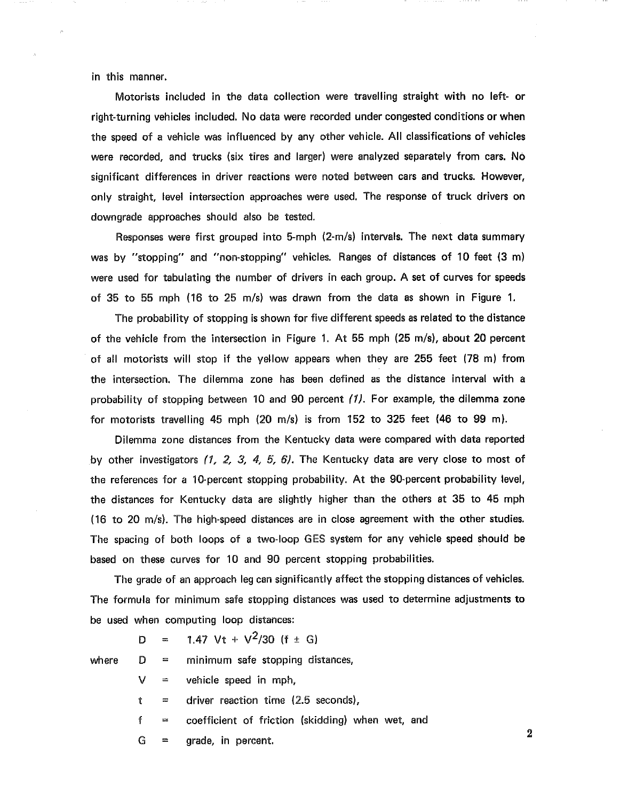in this manner.

Motorists included in the data collection were travelling straight with no left- or right-turning vehicles included. No data were recorded under congested conditions or when the speed of a vehicle was influenced by any other vehicle. All classifications of vehicles were recorded, and trucks (six tires and larger) were analyzed separately from cars. No significant differences in driver reactions were noted between cars and trucks. However, only straight, level intersection approaches were used. The response of truck drivers on downgrade approaches should also be tested.

Responses were first grouped into 5-mph (2-m/s) intervals. The next data summary was by "stopping" and "non-stopping" vehicles. Ranges of distances of 10 feet (3 m) were used for tabulating the number of drivers in each group. A set of curves for speeds of 35 to 55 mph (16 to 25 m/s) was drawn from the data as shown in Figure 1.

The probability of stopping is shown for five different speeds as related to the distance of the vehicle from the intersection in Figure 1. At 55 mph (25 m/s), about 20 percent of all motorists will stop if the yellow appears when they are 255 feet (78 m) from the intersection. The dilemma zone has been defined as the distance interval with a probability of stopping between 10 and 90 percent  $(1)$ . For example, the dilemma zone for motorists travelling 45 mph (20 m/s) is from 152 to 325 feet (46 to 99 m).

Dilemma zone distances from the Kentucky data were compared with data reported by other investigators (1, 2, 3, 4, 5, 6). The Kentucky data are very close to most of the references for a 10-percent stopping probability. At the 90-percent probability level, the distances for Kentucky data are slightly higher than the others at 35 to 45 mph (16 to 20 m/s). The high-speed distances are in close agreement with the other studies. The spacing of both loops of a two-loop GES system for any vehicle speed should be based on these curves for 10 and 90 percent stopping probabilities.

The grade of an approach leg can significantly affect the stopping distances of vehicles. The formula for minimum safe stopping distances was used to determine adjustments to be used when computing loop distances:

D = 1.47 Vt +  $\sqrt{2}/30$  (f ± G)

where  $D =$  minimum safe stopping distances,

 $V =$  vehicle speed in mph,

 $t =$  driver reaction time (2.5 seconds),

 $f =$  coefficient of friction (skidding) when wet, and

 $G =$  grade, in percent.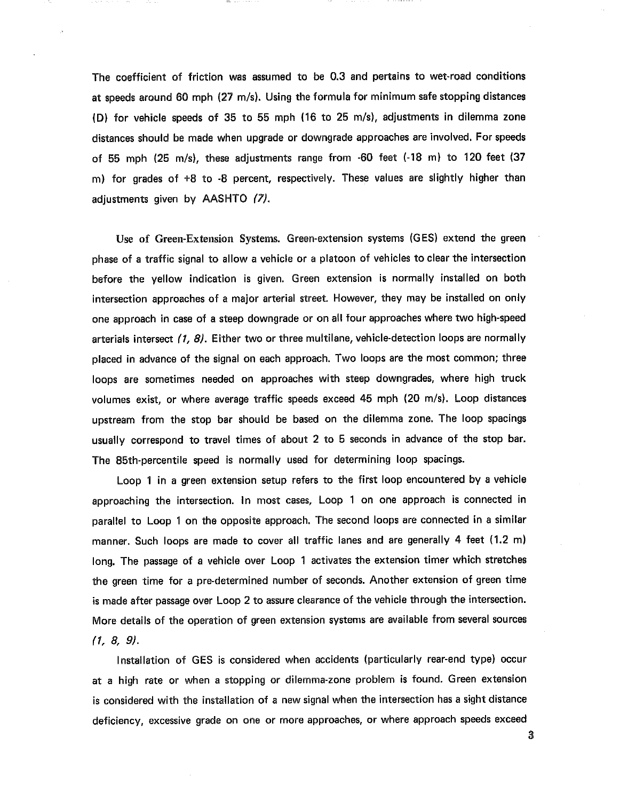The coefficient of friction was assumed to be 0.3 and pertains to wet·road conditions at speeds around 60 mph (27 m/s). Using the formula for minimum safe stopping distances (D) for vehicle speeds of 35 to 55 mph (16 to 25 m/s), adjustments in dilemma zone distances should be made when upgrade or downgrade approaches are involved. For speeds of 55 mph (25 m/s), these adjustments range from ·60 feet (-18 m) to 120 feet (37 m) for grades of +8 to -8 percent, respectively. These values are slightly higher than adjustments given by AASHTO (7).

Use of Green-Extension Systems. Green-extension systems (GES) extend the green phase of a traffic signal to allow a vehicle or a platoon of vehicles to clear the intersection before the yellow indication is given. Green extension is normally installed on both intersection approaches of a major arterial street. However, they may be installed on only one approach in case of a steep downgrade or on all four approaches where two high-speed arterials intersect  $(1, 8)$ . Either two or three multilane, vehicle-detection loops are normally placed in advance of the signal on each approach. Two loops are the most common; three loops are sometimes needed on approaches with steep downgrades, where high truck volumes exist, or where average traffic speeds exceed 45 mph (20 m/s). Loop distances upstream from the stop bar should be based on the dilemma zone. The loop spacings usually correspond to travel times of about 2 to 5 seconds in advance of the stop bar. The 85th-percentile speed is normally used for determining loop spacings.

Loop 1 in a green extension setup refers to the first loop encountered by a vehicle approaching the intersection. In most cases, Loop 1 on one approach is connected in parallel to Loop 1 on the opposite approach. The second loops are connected in a similar manner. Such loops are made to cover all traffic lanes and are generally 4 feet (1.2 m) long. The passage of a vehicle over Loop 1 activates the extension timer which stretches the green time for a pre-determined number of seconds. Another extension of green time is made after passage over Loop 2 to assure clearance of the vehicle through the intersection. More details of the operation of green extension systems are available from several sources (1, 8, 9).

Installation of GES is considered when accidents (particularly rear-end type) occur at a high rate or when a stopping or dilemma-zone problem is found. Green extension is considered with the installation of a new signal when the intersection has a sight distance deficiency, excessive grade on one or more approaches, or where approach speeds exceed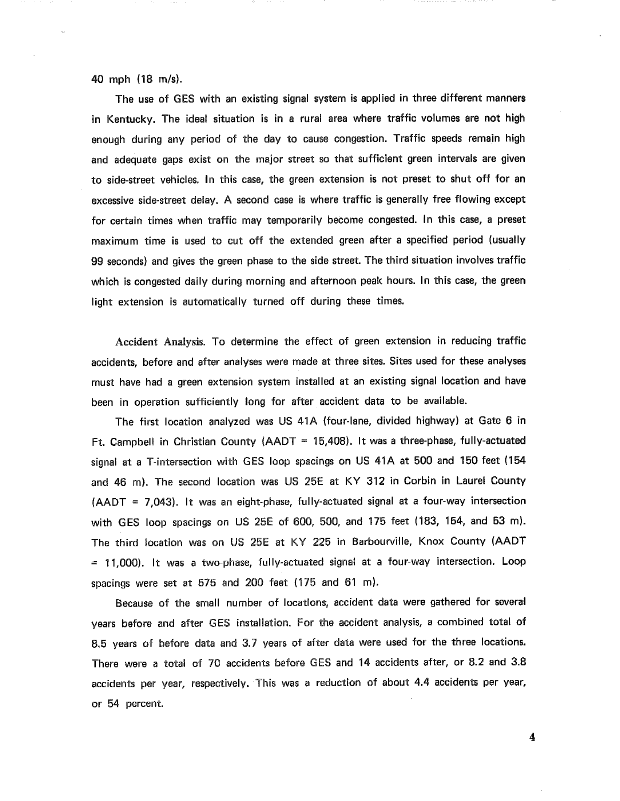40 mph (18 m/s).

The use of GES with an existing signal system is applied in three different manners in Kentucky. The ideal situation is in a rural area where traffic volumes are not high enough during any period of the day to cause congestion. Traffic speeds remain high and adequate gaps exist on the major street so that sufficient green intervals are given to side-street vehicles. In this case, the green extension is not preset to shut off for an excessive side-street delay. A second case is where traffic is generally free flowing except for certain times when traffic may temporarily become congested. In this case, a preset maximum time is used to cut off the extended green after a specified period (usually <sup>99</sup>seconds) and gives the green phase to the side street. The third situation involves traffic which is congested daily during morning and afternoon peak hours. In this case, the green light extension is automatically turned off during these times.

Accident Analysis. To determine the effect of green extension in reducing traffic accidents, before and after analyses were made at three sites. Sites used for these analyses must have had a green extension system installed at an existing signal location and have been in operation sufficiently long for after accident data to be available.

The first location analyzed was US 41A (four-lane, divided highway) at Gate 6 in Ft. Campbell in Christian County ( $AADT = 15,408$ ). It was a three-phase, fully-actuated signal at a T-intersection with GES loop spacings on US 41A at 500 and 150 teet (154 and 46 m). The second location was US 25E at KY 312 in Corbin in Laurel County (AADT = 7,043). It was an eight-phase, fully-actuated signal at a four-way intersection with GES loop spacings on US 25E of 600, 500, and 175 teet (183, 154, and 53 m). The third location was on US 25E at KY 225 in Barbourville, Knox County (AADT <sup>=</sup>11,000). It was a two-phase, fully-actuated signal at a four-way intersection. Loop spacings were set at 575 and 200 feet (175 and 61 m).

Because of the small number of locations, accident data were gathered for several years before and after GES installation. For the accident analysis, a combined total of 8.5 years of before data and 3.7 years of after data were used for the three locations. There were a total of 70 accidents before GES and 14 accidents after, or 8.2 and 3.8 accidents per year, respectively. This was a reduction of about 4.4 accidents per year, or 54 percent.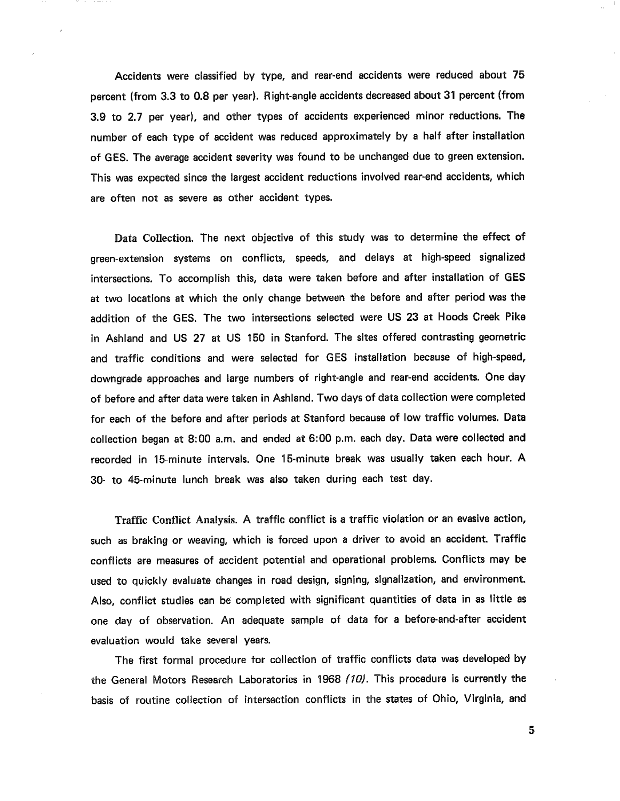Accidents were classified by type, and rear-end accidents were reduced about 75 percent (from 3.3 to 0.8 per year). Right-angle accidents decreased about 31 percent (from 3.9 to 2.7 per year), and other types of accidents experienced minor reductions. The number of each type of accident was reduced approximately by a half after installation of GES. The average accident severity was found to be unchanged due to green extension. This was expected since the largest accident reductions involved rear-end accidents, which are often not as severe as other accident types.

Data Collection. The next objective of this study was to determine the effect of green-extension systems on conflicts, speeds, and delays at high-speed signalized intersections. To accomplish this, data were taken before and after installation of GES at two locations at which the only change between the before and after period was the addition of the GES. The two intersections selected were US 23 at Hoods Creek Pike in Ashland and US 27 at US 150 in Stanford. The sites offered contrasting geometric and traffic conditions and were selected for GES installation because of high-speed, downgrade approaches and large numbers of right-angle and rear-end accidents. One day of before and after data were taken in Ashland. Two days of data collection were completed for each of the before and after periods at Stanford because of low traffic volumes. Data collection began at 8:00 a.m. and ended at 6:00 p.m. each day. Data were collected and recorded in 15-minute intervals. One 15-minute break was usually taken each hour. A 30· to 45-minute lunch break was also taken during each test day.

Traffic Conflict Analysis. A traffic conflict is a traffic violation or an evasive action, such as braking or weaving, which is forced upon a driver to avoid an accident. Traffic conflicts are measures of accident potential and operational problems. Conflicts may be used to quickly evaluate changes in road design, signing, signalization, and environment. Also, conflict studies can be completed with significant quantities of data in as little as one day of observation. An adequate sample of data for a before-and-after accident evaluation would take several years.

The first formal procedure for collection of traffic conflicts data was developed by the General Motors Research Laboratories in 1968 (10). This procedure is currently the basis of routine collection of intersection conflicts in the states of Ohio, Virginia, and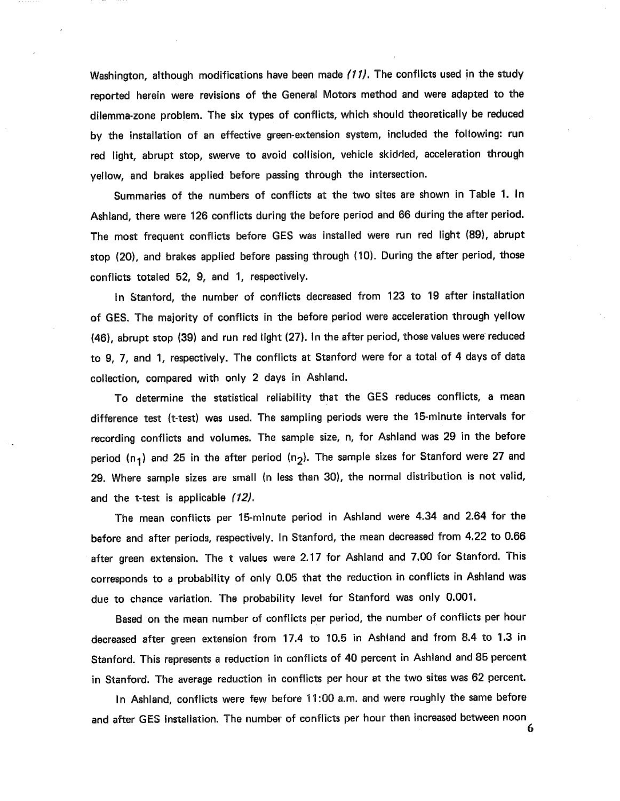Washington, although modifications have been made (11). The conflicts used in the study reported herein were revisions of the General Motors method and were adapted to the dilemma-zone problem. The six types of conflicts, which should theoretically be reduced by the installation of an effective green-extension system, included the following: run red light, abrupt stop, swerve to avoid collision, vehicle skidded, acceleration through yellow, and brakes applied before passing through the intersection.

Summaries of the numbers of conflicts at the two sites are shown in Table 1. In Ashland, there were 126 conflicts during the before period and 66 during the after period. The most frequent conflicts before GES was installed were run red light (89), abrupt stop (20), and brakes applied before passing through (10). During the after period, those conflicts totaled 52, 9, and 1, respectively.

In Stantord, the number of conflicts decreased from 123 to 19 after installation of GES. The majority of conflicts in the before period were acceleration through yellow (46), abrupt stop (39) and run red light (27). In the after period, those values were reduced to 9, 7, and 1, respectively. The conflicts at Stanford were for a total of 4 days of data collection, compared with only 2 days in Ashland.

To determine the statistical reliability that the GES reduces conflicts, a mean difference test (t-test) was used. The sampling periods were the 15-minute intervals for recording conflicts and volumes. The sample size, n, for Ashland was 29 in the before period (n<sub>1</sub>) and 25 in the after period (n<sub>2</sub>). The sample sizes for Stanford were 27 and 29. Where sample sizes are small (n less than 30), the normal distribution is not valid, and the t-test is applicable (12).

The mean conflicts per 15-minute period in Ashland were 4.34 and 2.64 for the before and after periods, respectively. In Stanford, the mean decreased from 4.22 to 0.66 after green extension. The t values were 2.17 for Ashland and 7.00 for Stanford. This corresponds to a probability of only 0.05 that the reduction in conflicts in Ashland was due to chance variation. The probability level for Stanford was only 0.001.

Based on the mean number of conflicts per period, the number of conflicts per hour decreased after green extension from 17.4 to 10.5 in Ashland and from 8.4 to 1.3 in Stanford. This represents a reduction in conflicts of 40 percent in Ashland and 85 percent in Stanford. The average reduction in conflicts per hour at the two sites was 62 percent.

In Ashland, conflicts were few before 11:00 a.m. and were roughly the same before and after GES installation. The number of conflicts per hour then increased between noon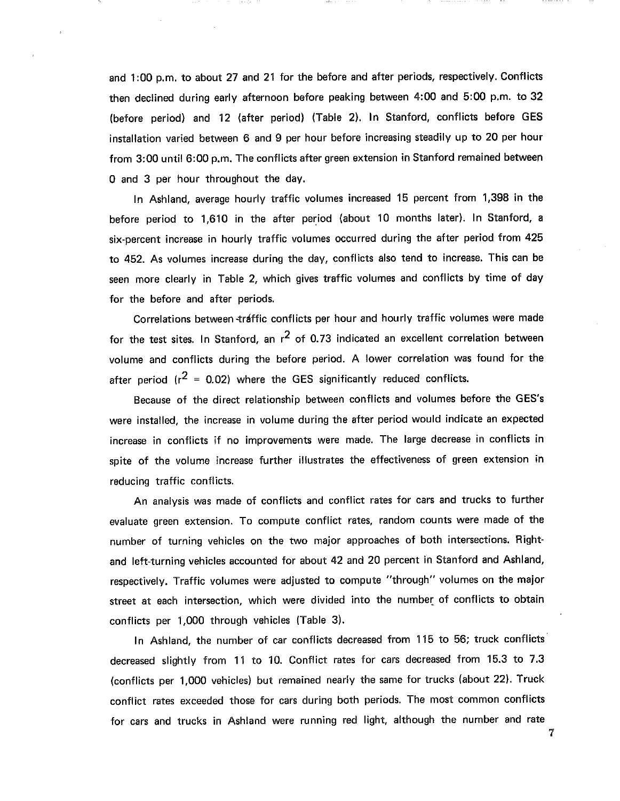and 1:00 p.m. to about 27 and 21 for the before and after periods, respectively. Conflicts then declined during early afternoon before peaking between 4:00 and 5:00 p.m. to <sup>32</sup> (before period) and 12 (after period) (Table 2). In Stanford, conflicts before GES installation varied between 6 and 9 per hour before increasing steadily up to 20 per hour from 3:00 until 6:00 p.m. The conflicts after green extension in Stanford remained between 0 and 3 per hour throughout the day.

In Ashland, average hourly traffic volumes increased 15 percent from 1,398 in the before period to 1,610 in the after period (about 10 months later). In Stanford, a six-percent increase in hourly traffic volumes occurred during the after period from 425 to 452. As volumes increase during the day, conflicts also tend to increase. This can be seen more clearly in Table 2, which gives traffic volumes and conflicts by time of day for the before and after periods.

Correlations between -traffic conflicts per hour and hourly traffic volumes were made for the test sites. In Stanford, an  $r^2$  of 0.73 indicated an excellent correlation between volume and conflicts during the before period. A lower correlation was found for the after period ( $r^2$  = 0.02) where the GES significantly reduced conflicts.

Because of the direct relationship between conflicts and volumes before the GES's were installed, the increase in volume during the after period would indicate an expected increase in conflicts if no improvements were made. The large decrease in conflicts in spite of the volume increase further illustrates the effectiveness of green extension in reducing traffic conflicts.

An analysis was made of conflicts and conflict rates for cars and trucks to further evaluate green extension. To compute conflict rates, random counts were made of the number of turning vehicles on the two major approaches of both intersections. Rightand left-turning vehicles accounted for about 42 and 20 percent in Stanford and Ashland, respectively. Traffic volumes were adjusted to compute "through" volumes on the major street at each intersection, which were divided into the number of conflicts to obtain conflicts per 1,000 through vehicles (Table 3).

In Ashland, the number of car conflicts decreased from 115 to 56; truck conflicts decreased slightly from 11 to 10. Conflict rates for cars decreased from 15.3 to 7.3 (conflicts per 1,000 vehicles) but remained nearly the same for trucks (about 22). Truck conflict rates exceeded those for cars during both periods. The most common conflicts for cars and trucks in Ashland were running red light, although the number and rate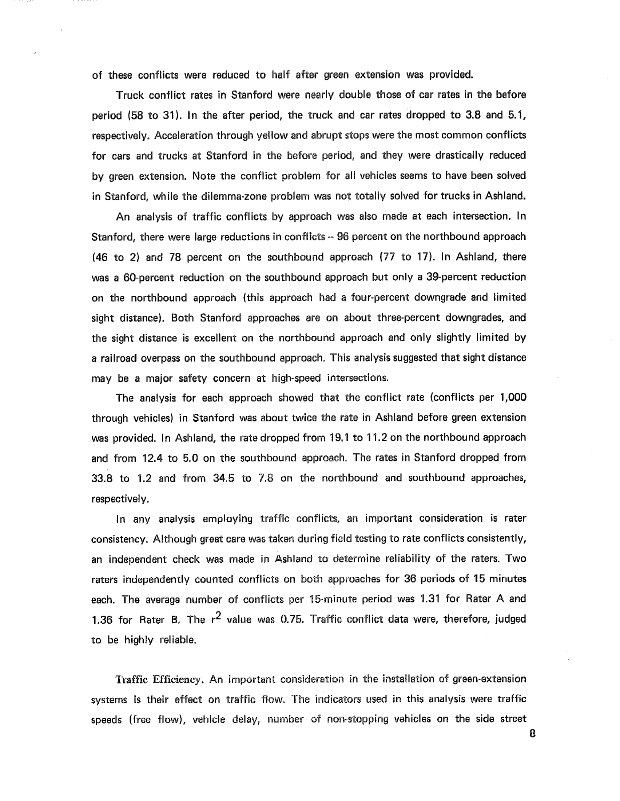of these conflicts were reduced to half after green extension was provided.

Truck conflict rates in Stanford were nearly double those of car rates in the before period (58 to 31). In the after period, the truck and car rates dropped to 3.8 and 5.1, respectively. Acceleration through yellow and abrupt stops were the most common conflicts for cars and trucks at Stanford in the before period, and they were drastically reduced by green extension. Note the conflict problem for all vehicles seems to have been solved in Stanford, while the dilemma-zone problem was not totally solved for trucks in Ashland.

An analysis of traffic conflicts by approach was also made at each intersection. In Stanford, there were large reductions in conflicts -- 96 percent on the northbound approach (46 to 2) and 78 percent on the southbound approach (77 to 17). In Ashland, there was a 60-percent reduction on the southbound approach but only a 39-percent reduction on the northbound approach (this approach had a four-percent downgrade and limited sight distance). Both Stanford approaches are on about three-percent downgrades, and the sight distance is excellent on the northbound approach and only slightly limited by a railroad overpass on the southbound approach. This analysis suggested that sight distance may be a major safety concern at high-speed intersections.

The analysis for each approach showed that the conflict rate (conflicts per 1,000 through vehicles) in Stanford was about twice the rate in Ashland before green extension was provided. In Ashland, the rate dropped from 19.1 to 11.2 on the northbound approach and from 12.4 to 5.0 on the southbound approach. The rates in Stanford dropped from 33.8 to 1.2 and from 34.5 to 7.8 on the northbound and southbound approaches, respectively.

In any analysis employing traffic conflicts, an important consideration is rater consistency. Although great care was taken during field testing to rate conflicts consistently, an independent check was made in Ashland to determine reliability of the raters. Two raters independently counted conflicts on both approaches for 36 periods of 15 minutes each. The average number of conflicts per 15-minute period was 1.31 for Rater A and 1.36 for Rater B. The  $r^2$  value was 0.75. Traffic conflict data were, therefore, judged to be highly reliable.

Traffic Efficiency. An important consideration in the installation of green-extension systems is their effect on traffic flow. The indicators used in this analysis were traffic speeds (free flow), vehicle delay, number of non-stopping vehicles on the side street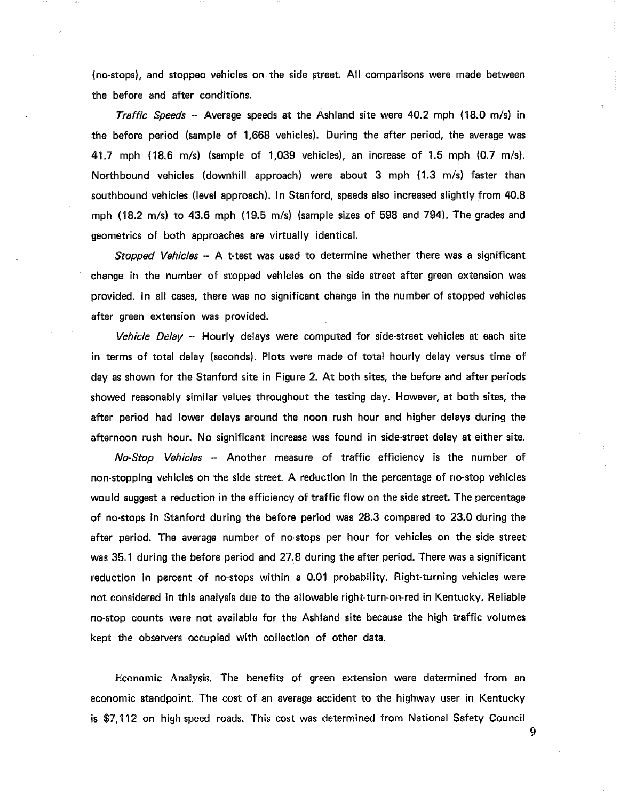(no-stops), and stoppeo vehicles on the side street. All comparisons were made between the before and after conditions.

Traffic Speeds -- Average speeds at the Ashland site were 40.2 mph ( 18.0 m/s) in the before period (sample of 1,668 vehicles). During the after period, the average was 41.7 mph (18.6 m/s) (sample of 1,039 vehicles), an increase of 1.5 mph (0.7 m/s). Northbound vehicles (downhill approach) were about 3 mph (1.3 m/s) faster than southbound vehicles (level approach). In Stanford, speeds also increased slightly from 40.8 mph (18.2 m/s) to 43.6 mph (19.5 m/s) (sample sizes of 598 and 794). The grades and geometries of both approaches are virtually identical.

Stopped Vehicles -- A t-test was used to determine whether there was a significant change in the number of stopped vehicles on the side street after green extension was provided. In all cases, there was no significant change in the number of stopped vehicles after green extension was provided.

Vehicle Delay -- Hourly delays were computed for side-street vehicles at each site in terms of total delay (seconds). Plots were made of total hourly delay versus time of day as shown for the Stanford site in Figure 2. At both sites, the before and after periods showed reasonably similar values throughout the testing day. However, at both sites, the after period had lower delays around the noon rush hour and higher delays during the afternoon rush hour. No significant increase was found in side-street delay at either site.

No-Stop Vehicles -- Another measure of traffic efficiency is the number of non-stopping vehicles on the side street. A reduction in the percentage of no-stop vehicles would suggest a reduction in the efficiency of traffic flow on the side street. The percentage of no-stops in Stanford during the before period was 28.3 compared to 23.0 during the after period. The average number of no-stops per hour for vehicles on the side street was 35.1 during the before period and 27.8 during the after period. There was a significant reduction in percent of no-stops within a 0.01 probability. Right-turning vehicles were not considered in this analysis due to the allowable right-turn-on-red in Kentucky. Reliable no-stop counts were not available for the Ashland site because the high traffic volumes kept the observers occupied with collection of other data.

Economic Analysis. The benefits of green extension were determined from an economic standpoint. The cost of an average accident to the highway user in Kentucky is \$7,112 on high-speed roads. This cost was determined from National Safety Council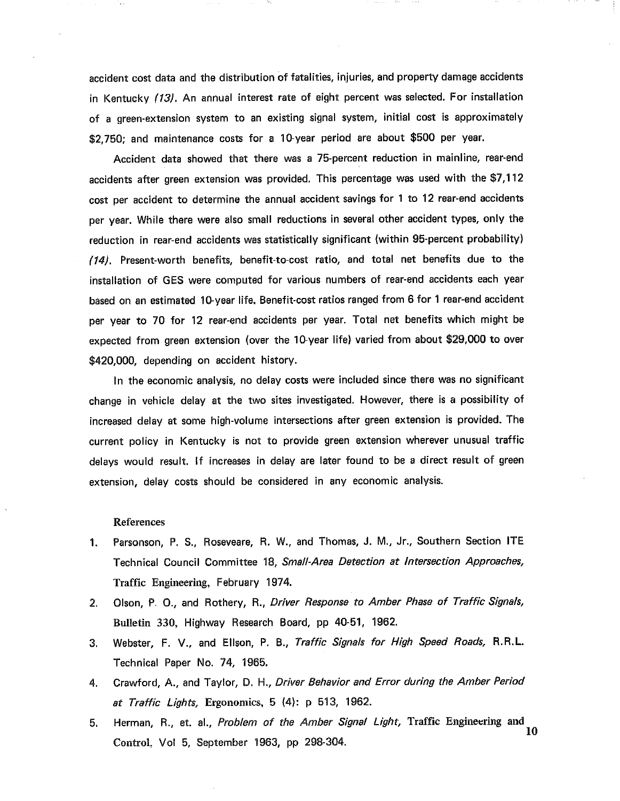accident cost data and the distribution of fatalities, injuries, and property damage accidents in Kentucky (13). An annual interest rate of eight percent was selected. For installation of a green-extension system to an existing signal system, initial cost is approximately \$2.750; and maintenance costs for a 1 0-year period are about \$500 per year.

Accident data showed that there was a 75-percent reduction in mainline, rear-end accidents after green extension was provided. This percentage was used with the \$7,112 cost per accident to determine the annual accident savings for 1 to 12 rear-end accidents per year. While there were also small reductions in several other accident types, only the reduction in rear-end accidents was statistically significant (within 95-percent probability) (14). Present-worth benefits, benefit-to-cost ratio, and total net benefits due to the installation of GES were computed for various numbers of rear-end accidents each year based on an estimated 10-year life. Benefit-cost ratios ranged from 6 for 1 rear-end accident per year to 70 for 12 rear-end accidents per year. Total net benefits which might be expected from green extension (over the 1 0-year life) varied from about \$29,000 to over \$420,000, depending on accident history.

In the economic analysis, no delay costs were included since there was no significant change in vehicle delay at the two sites investigated. However, there is a possibility of increased delay at some high-volume intersections after green extension is provided. The current policy in Kentucky is not to provide green extension wherever unusual traffic delays would result. If increases in delay are later found to be a direct result of green extension, delay costs should be considered in any economic analysis.

#### References

- 1. Parsonson, P. S., Roseveare, R. W., and Thomas, J. M., Jr., Southern Section ITE Technical Council Committee 18, Small-Area Detection at Intersection Approaches, Traffic Engineering, February 1974.
- 2. Olson, P. 0., and Rothery, R., Driver Response to Amber Phase of Traffic Signals, Bulletin 330, Highway Research Board, pp 40-51, 1962.
- 3. Webster, F. V., and Ellson, P. B., Traffic Signals for High Speed Roads, R.R.L. Technical Paper No. 74, 1965.
- 4. Crawford, A., and Taylor, D. H., Driver Behavior and Error during the Amber Period at Traffic Lights, Ergonomics, 5 (4): p 513, 1962.
- 5. Herman, R., et. al., Problem of the Amber Signal Light, Traffic Engineering and 10 ControL Vol 5, September 1963, pp 298-304.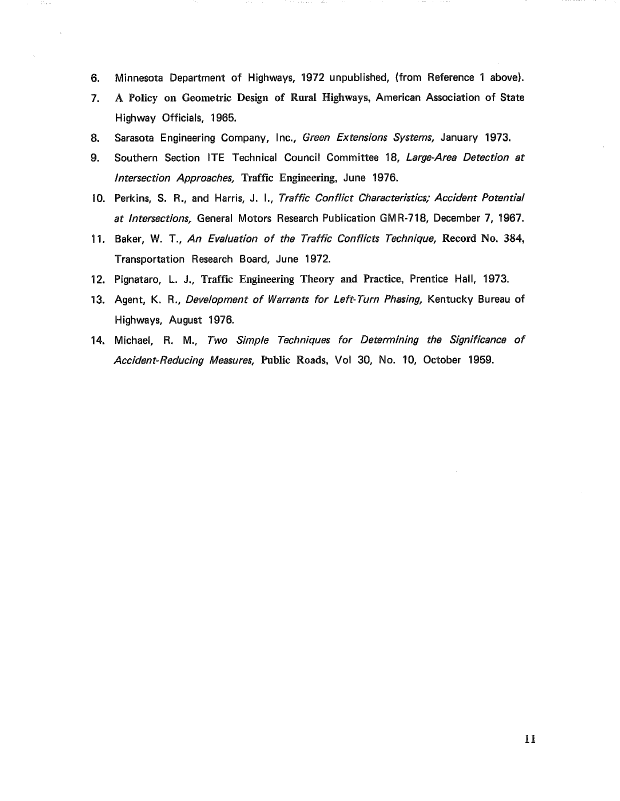6. Minnesota Department of Highways, 1972 unpublished, (from Reference 1 above).

 $\mathbb{Z}_{2}$  ,  $\mathbb{Z}_{2}$ 

- 7. A Policy on Geometric Design of Rural Highways, American Association of State Highway Officials, 1965.
- 8. Sarasota Engineering Company, Inc., Green Extensions Systems, January 1973.
- 9. Southern Section ITE Technical Council Committee 18, Large-Area Detection at Intersection Approaches, Traffic Engineering, June 1976.
- 10. Perkins, S. R., and Harris, J. 1., Traffic Conflict Characteristics; Accident Potential at Intersections, General Motors Research Publication GMR-718, December 7, 1967.
- 11. Baker, W. T., An Evaluation of the Traffic Conflicts Technique, Record No. 384, Transportation Research Board, June 1972.
- 12. Pignataro, L. J., Traffic Engineering Theory and Practice, Prentice Hall, 1973.
- 13. Agent, K. R., Development of Warrants for Left-Turn Phasing, Kentucky Bureau of Highways, August 1976.
- 14. Michael, R. M., Two Simple Techniques for Determining the Significance of Accident-Reducing Measures, Public Roads, Vol 30, No. 10, October 1959.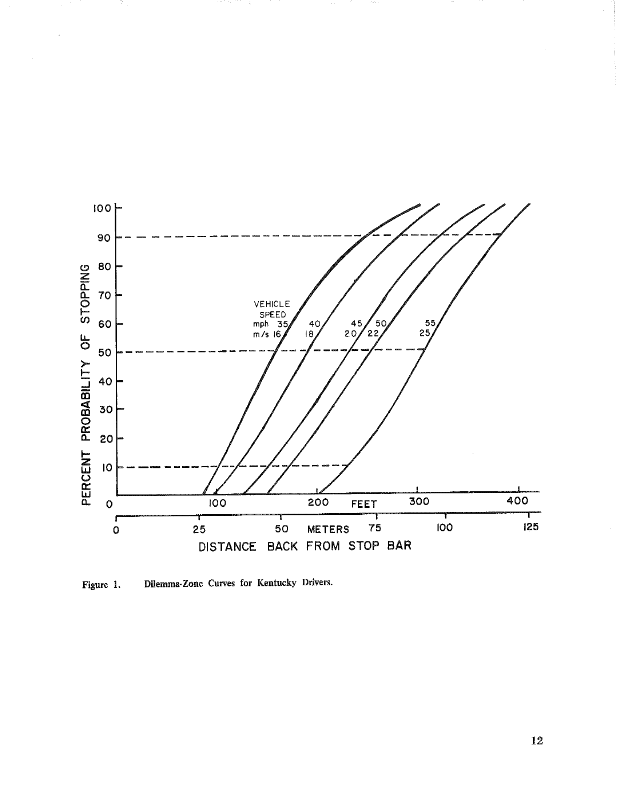

 $\mathcal{A}(\mathcal{E},\mathcal{E})$ 

Dilemma-Zone Curves for Kentucky Drivers. Figure 1.

Р.,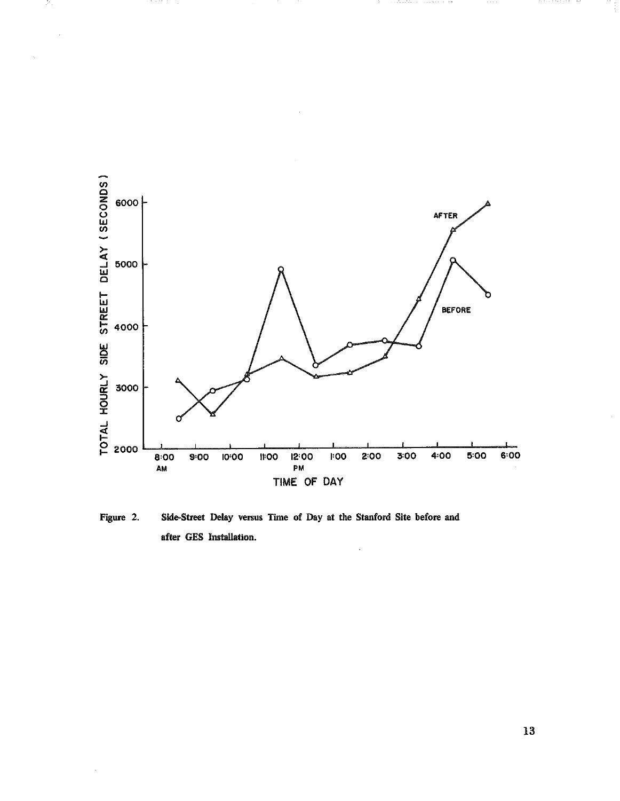

a sta katalan

Figure 2. Side-Street Delay versus Time of Day at the Stanford Site before and after GES Installation.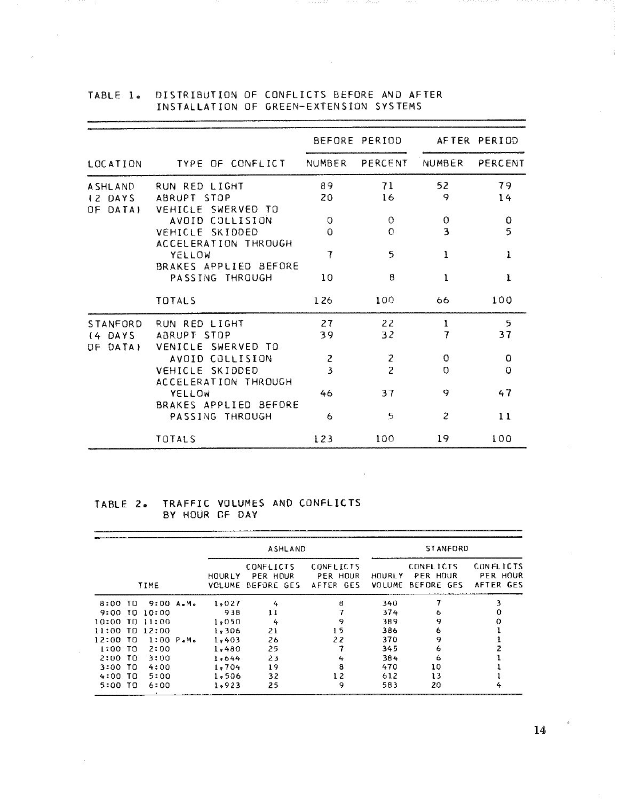|                     |                                         |                | BEFORE PERIOD  |                | AFTER PERIOD |  |
|---------------------|-----------------------------------------|----------------|----------------|----------------|--------------|--|
|                     | LOCATION TYPE OF CONFLICT NUMBER        |                | PERCENT        | NUMBER         | PERCENT      |  |
| <b>ASHLAND</b>      | RUN RED LIGHT                           | 89             | 71             | 52             | 79           |  |
| LZ DAYS<br>OF DATAI | ABRUPT STOP<br>VEHICLE SWERVED TO       | 20             | 16             | 9              | 14           |  |
|                     | AVOID COLLISION                         | O              | $\Omega$       | 0              | 0            |  |
|                     | VEHICLE SKIDDED<br>ACCELERATION THROUGH | $\Omega$       | $\Omega$       | 3              | 5            |  |
|                     | YELLOW<br>BRAKES APPLIED BEFORE         | $\overline{1}$ | 5              | $\bf{1}$       | 1            |  |
|                     | PASSING THROUGH                         | 10             | 8              | $\mathbf{I}$   | ı            |  |
|                     | TOTALS                                  | 126            | 100            | 66.            | 100          |  |
| STANFORD            | RUN RED LIGHT                           | 27             | 22             | $\mathbf{1}$   | 5            |  |
| (4 DAYS<br>OF DATA) | ABRUPT STOP<br>VENICLE SWERVED TO       | 39             | 32             | 7              | 37           |  |
|                     | AVOID COLLISION                         | $\overline{c}$ | $\overline{c}$ | 0              | 0            |  |
|                     | VEHICLE SKIDDED<br>ACCELERATION THROUGH | 3              | $\overline{2}$ | $\Omega$       | $\Omega$     |  |
|                     | YELLOW<br>BRAKES APPLIED BEFORE         | 46             | 37             | 9              | 47           |  |
|                     | PASSING THROUGH                         | -6             | 5              | $\overline{2}$ | 11           |  |
|                     | TOTALS                                  | 123            | 100            | 19             | 100          |  |

tra conservation

a na matangan sa Panguna

 $\sim$   $\sim$ 

## TABLE 1. DISTRIBUTION OF CONFLICTS BEFORE AND AFTER INSTALLATION OF GREEN-EXTENSION SYSTEMS

## TABLE 2. TRAFFIC VOLUMES AND CONFLICTS BY HOUR CF DAY

|          |       |                    |          | <b>ASHLAND</b>                                       |                       | <b>STANFORD</b> |                                                             |                              |  |  |
|----------|-------|--------------------|----------|------------------------------------------------------|-----------------------|-----------------|-------------------------------------------------------------|------------------------------|--|--|
| TIME     |       |                    | HOURLY   | CONFLICTS<br>PER HOUR<br>VOLUME BEFORE GES AFTER GES | CONFLICTS<br>PER HOUR | <b>HOURLY</b>   | <b>CONFLICTS</b><br>PER HOUR<br>VOLUME BEFORE GES AFTER GES | CONFLICTS<br><b>PER HOUR</b> |  |  |
| 8:00 TO  |       | 9:00 A.M.          | 1.027    |                                                      | 8                     | 340             |                                                             |                              |  |  |
| 9:00 TO  |       | -10:00             | 938      |                                                      |                       | 374             |                                                             |                              |  |  |
|          |       | $10:00$ TO $11:00$ | 1.050    |                                                      |                       | 389             |                                                             |                              |  |  |
| 11:00 TO |       | 12:00              | 1.306    | 21                                                   | 15                    | 386             |                                                             |                              |  |  |
| 12:00    | -TO.  | 1:00 P.M.          | 1.403    | 26                                                   | 22                    | 370             |                                                             |                              |  |  |
| 1:00     | םד    | 2:00               | 1,480    | 25.                                                  |                       | 345             |                                                             |                              |  |  |
| 2:00     | - T O | 3:00               | $1.64 +$ | 23                                                   |                       | 384             | n                                                           |                              |  |  |
| 3:00 TO  |       | 4:00               | 1.704    | 19                                                   |                       | 470             | 10                                                          |                              |  |  |
| 4:00     | - 10. | 5:00               | 1.506    | 32                                                   |                       | 612             | 13                                                          |                              |  |  |
| 5:00 TO  |       | 6:00               | 1,923    | 25                                                   | Q                     | 583             | 20                                                          |                              |  |  |